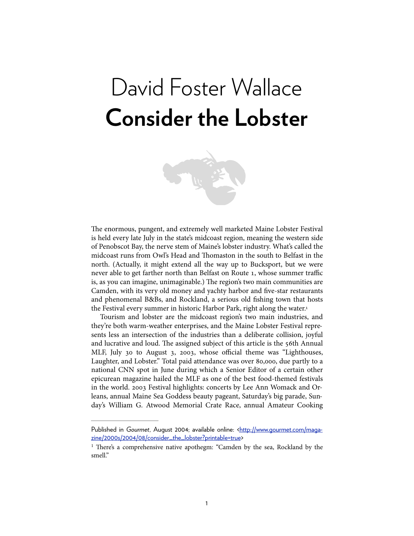## David Foster Wallace **Consider the Lobster**



The enormous, pungent, and extremely well marketed Maine Lobster Festival is held every late July in the state's midcoast region, meaning the western side of Penobscot Bay, the nerve stem of Maine's lobster industry. What's called the midcoast runs from Owl's Head and Thomaston in the south to Belfast in the north. (Actually, it might extend all the way up to Bucksport, but we were never able to get farther north than Belfast on Route 1, whose summer traffic is, as you can imagine, unimaginable.) The region's two main communities are Camden, with its very old money and yachty harbor and five-star restaurants and phenomenal B&Bs, and Rockland, a serious old fishing town that hosts the Festival every summer in historic Harbor Park, right along the water.

<span id="page-0-1"></span>Tourism and lobster are the midcoast region's two main industries, and they're both warm-weather enterprises, and the Maine Lobster Festival represents less an intersection of the industries than a deliberate collision, joyful and lucrative and loud. The assigned subject of this article is the 56th Annual MLF, July 30 to August 3, 2003, whose official theme was "Lighthouses, Laughter, and Lobster." Total paid attendance was over 80,000, due partly to a national CNN spot in June during which a Senior Editor of a certain other epicurean magazine hailed the MLF as one of the best food-themed festivals in the world. 2003 Festival highlights: concerts by Lee Ann Womack and Orleans, annual Maine Sea Goddess beauty pageant, Saturday's big parade, Sunday's William G. Atwood Memorial Crate Race, annual Amateur Cooking

Published in *Gourmet*, August 2004; available online: [<http://www.gourmet.com/maga](http://www.gourmet.com/magazine/2000s/2004/08/consider_the_lobster?printable=true)[zine/2000s/2004/08/consider\\_the\\_lobster?printable=true>](http://www.gourmet.com/magazine/2000s/2004/08/consider_the_lobster?printable=true)

<span id="page-0-0"></span><sup>&</sup>lt;sup>[1](#page-0-1)</sup> There's a comprehensive native apothegm: "Camden by the sea, Rockland by the smell."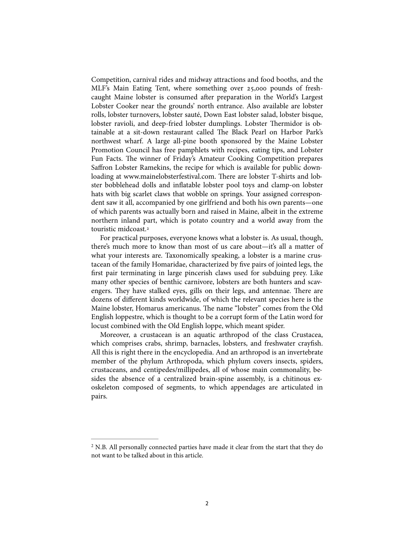Competition, carnival rides and midway attractions and food booths, and the MLF's Main Eating Tent, where something over 25,000 pounds of freshcaught Maine lobster is consumed afer preparation in the World's Largest Lobster Cooker near the grounds' north entrance. Also available are lobster rolls, lobster turnovers, lobster sauté, Down East lobster salad, lobster bisque, lobster ravioli, and deep-fried lobster dumplings. Lobster Thermidor is obtainable at a sit-down restaurant called The Black Pearl on Harbor Park's northwest wharf. A large all-pine booth sponsored by the Maine Lobster Promotion Council has free pamphlets with recipes, eating tips, and Lobster Fun Facts. The winner of Friday's Amateur Cooking Competition prepares Saffron Lobster Ramekins, the recipe for which is available for public downloading at www.mainelobsterfestival.com. There are lobster T-shirts and lobster bobblehead dolls and inflatable lobster pool toys and clamp-on lobster hats with big scarlet claws that wobble on springs. Your assigned correspondent saw it all, accompanied by one girlfriend and both his own parents—one of which parents was actually born and raised in Maine, albeit in the extreme northern inland part, which is potato country and a world away from the touristic midcoast.

<span id="page-1-1"></span>For practical purposes, everyone knows what a lobster is. As usual, though, there's much more to know than most of us care about—it's all a matter of what your interests are. Taxonomically speaking, a lobster is a marine crustacean of the family Homaridae, characterized by five pairs of jointed legs, the first pair terminating in large pincerish claws used for subduing prey. Like many other species of benthic carnivore, lobsters are both hunters and scavengers. They have stalked eyes, gills on their legs, and antennae. There are dozens of different kinds worldwide, of which the relevant species here is the Maine lobster, Homarus americanus. The name "lobster" comes from the Old English loppestre, which is thought to be a corrupt form of the Latin word for locust combined with the Old English loppe, which meant spider.

Moreover, a crustacean is an aquatic arthropod of the class Crustacea, which comprises crabs, shrimp, barnacles, lobsters, and freshwater crayfish. All this is right there in the encyclopedia. And an arthropod is an invertebrate member of the phylum Arthropoda, which phylum covers insects, spiders, crustaceans, and centipedes/millipedes, all of whose main commonality, besides the absence of a centralized brain-spine assembly, is a chitinous exoskeleton composed of segments, to which appendages are articulated in pairs.

<span id="page-1-0"></span><sup>&</sup>lt;sup>[2](#page-1-1)</sup> N.B. All personally connected parties have made it clear from the start that they do not want to be talked about in this article.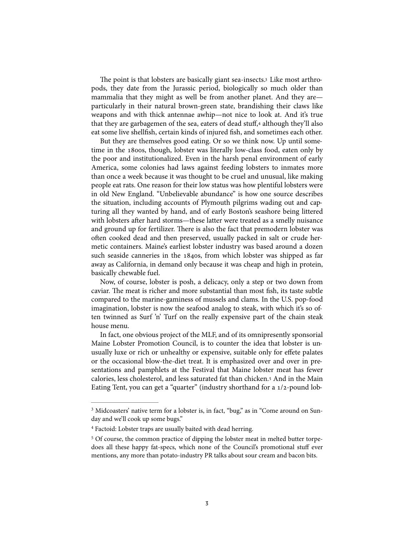<span id="page-2-3"></span>The point is that lobsters are basically giant sea-insects.<sup>3</sup> Like most arthropods, they date from the Jurassic period, biologically so much older than mammalia that they might as well be from another planet. And they are particularly in their natural brown-green state, brandishing their claws like weapons and with thick antennae awhip—not nice to look at. And it's true that they are garbagemen of the sea, eaters of dead stuff, although they'll also eat some live shellfish, certain kinds of injured fish, and sometimes each other.

<span id="page-2-4"></span>But they are themselves good eating. Or so we think now. Up until sometime in the 1800s, though, lobster was literally low-class food, eaten only by the poor and institutionalized. Even in the harsh penal environment of early America, some colonies had laws against feeding lobsters to inmates more than once a week because it was thought to be cruel and unusual, like making people eat rats. One reason for their low status was how plentiful lobsters were in old New England. "Unbelievable abundance" is how one source describes the situation, including accounts of Plymouth pilgrims wading out and capturing all they wanted by hand, and of early Boston's seashore being littered with lobsters after hard storms—these latter were treated as a smelly nuisance and ground up for fertilizer. There is also the fact that premodern lobster was ofen cooked dead and then preserved, usually packed in salt or crude hermetic containers. Maine's earliest lobster industry was based around a dozen such seaside canneries in the  $1840s$ , from which lobster was shipped as far away as California, in demand only because it was cheap and high in protein, basically chewable fuel.

Now, of course, lobster is posh, a delicacy, only a step or two down from caviar. The meat is richer and more substantial than most fish, its taste subtle compared to the marine-gaminess of mussels and clams. In the U.S. pop-food imagination, lobster is now the seafood analog to steak, with which it's so often twinned as Surf 'n' Turf on the really expensive part of the chain steak house menu.

In fact, one obvious project of the MLF, and of its omnipresently sponsorial Maine Lobster Promotion Council, is to counter the idea that lobster is unusually luxe or rich or unhealthy or expensive, suitable only for effete palates or the occasional blow-the-diet treat. It is emphasized over and over in presentations and pamphlets at the Festival that Maine lobster meat has fewer calories, less cholesterol, and less saturated fat than chicken.<sup>5</sup> And in the Main Eating Tent, you can get a "quarter" (industry shorthand for a  $1/2$ -pound lob-

<span id="page-2-5"></span><span id="page-2-0"></span> $3$  Midcoasters' native term for a lobster is, in fact, "bug," as in "Come around on Sunday and we'll cook up some bugs."

<span id="page-2-1"></span><sup>&</sup>lt;sup>[4](#page-2-4)</sup> Factoid: Lobster traps are usually baited with dead herring.

<span id="page-2-2"></span><sup>&</sup>lt;sup>[5](#page-2-5)</sup> Of course, the common practice of dipping the lobster meat in melted butter torpedoes all these happy fat-specs, which none of the Council's promotional stuff ever mentions, any more than potato-industry PR talks about sour cream and bacon bits.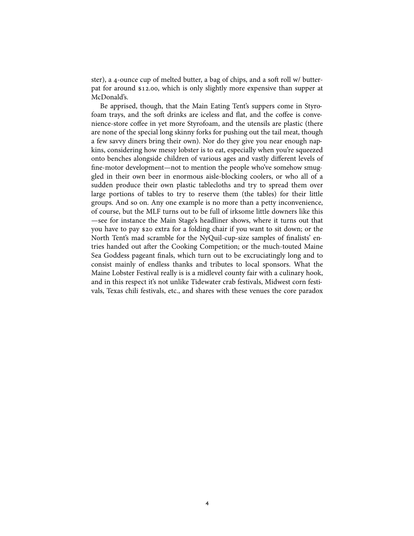ster), a 4-ounce cup of melted butter, a bag of chips, and a soft roll w/ butterpat for around \$12.00, which is only slightly more expensive than supper at McDonald's.

Be apprised, though, that the Main Eating Tent's suppers come in Styrofoam trays, and the soft drinks are iceless and flat, and the coffee is convenience-store coffee in yet more Styrofoam, and the utensils are plastic (there are none of the special long skinny forks for pushing out the tail meat, though a few savvy diners bring their own). Nor do they give you near enough napkins, considering how messy lobster is to eat, especially when you're squeezed onto benches alongside children of various ages and vastly different levels of fine-motor development—not to mention the people who've somehow smuggled in their own beer in enormous aisle-blocking coolers, or who all of a sudden produce their own plastic tablecloths and try to spread them over large portions of tables to try to reserve them (the tables) for their little groups. And so on. Any one example is no more than a petty inconvenience, of course, but the MLF turns out to be full of irksome little downers like this —see for instance the Main Stage's headliner shows, where it turns out that you have to pay \$20 extra for a folding chair if you want to sit down; or the North Tent's mad scramble for the NyQuil-cup-size samples of finalists' entries handed out after the Cooking Competition; or the much-touted Maine Sea Goddess pageant finals, which turn out to be excruciatingly long and to consist mainly of endless thanks and tributes to local sponsors. What the Maine Lobster Festival really is is a midlevel county fair with a culinary hook, and in this respect it's not unlike Tidewater crab festivals, Midwest corn festivals, Texas chili festivals, etc., and shares with these venues the core paradox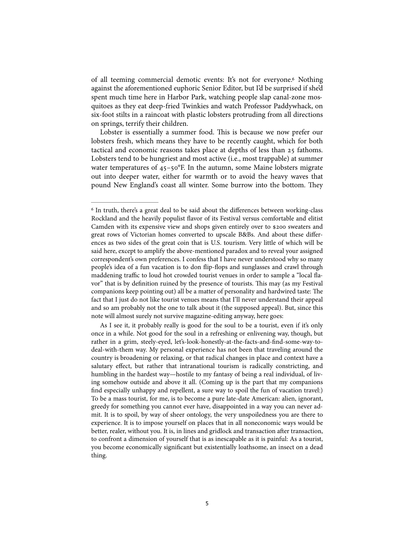<span id="page-4-1"></span>of all teeming commercial demotic events: It's not for everyone[.](#page-4-0)<sup>6</sup> Nothing against the aforementioned euphoric Senior Editor, but I'd be surprised if she'd spent much time here in Harbor Park, watching people slap canal-zone mosquitoes as they eat deep-fried Twinkies and watch Professor Paddywhack, on six-foot stilts in a raincoat with plastic lobsters protruding from all directions on springs, terrify their children.

Lobster is essentially a summer food. This is because we now prefer our lobsters fresh, which means they have to be recently caught, which for both tactical and economic reasons takes place at depths of less than 25 fathoms. Lobsters tend to be hungriest and most active (i.e., most trappable) at summer water temperatures of  $45-50$ °F. In the autumn, some Maine lobsters migrate out into deeper water, either for warmth or to avoid the heavy waves that pound New England's coast all winter. Some burrow into the bottom. They

<span id="page-4-0"></span><sup>&</sup>lt;sup>6</sup> In truth, there's a great deal to be said about the differences between working-class Rockland and the heavily populist flavor of its Festival versus comfortable and elitist Camden with its expensive view and shops given entirely over to \$200 sweaters and great rows of Victorian homes converted to upscale B&Bs. And about these differences as two sides of the great coin that is U.S. tourism. Very little of which will be said here, except to amplify the above-mentioned paradox and to reveal your assigned correspondent's own preferences. I confess that I have never understood why so many people's idea of a fun vacation is to don flip-flops and sunglasses and crawl through maddening traffic to loud hot crowded tourist venues in order to sample a "local flavor" that is by definition ruined by the presence of tourists. Tis may (as my Festival companions keep pointing out) all be a matter of personality and hardwired taste: The fact that I just do not like tourist venues means that I'll never understand their appeal and so am probably not the one to talk about it (the supposed appeal). But, since this note will almost surely not survive magazine-editing anyway, here goes:

As I see it, it probably really is good for the soul to be a tourist, even if it's only once in a while. Not good for the soul in a refreshing or enlivening way, though, but rather in a grim, steely-eyed, let's-look-honestly-at-the-facts-and-find-some-way-todeal-with-them way. My personal experience has not been that traveling around the country is broadening or relaxing, or that radical changes in place and context have a salutary effect, but rather that intranational tourism is radically constricting, and humbling in the hardest way—hostile to my fantasy of being a real individual, of living somehow outside and above it all. (Coming up is the part that my companions find especially unhappy and repellent, a sure way to spoil the fun of vacation travel:) To be a mass tourist, for me, is to become a pure late-date American: alien, ignorant, greedy for something you cannot ever have, disappointed in a way you can never admit. It is to spoil, by way of sheer ontology, the very unspoiledness you are there to experience. It is to impose yourself on places that in all noneconomic ways would be better, realer, without you. It is, in lines and gridlock and transaction afer transaction, to confront a dimension of yourself that is as inescapable as it is painful: As a tourist, you become economically significant but existentially loathsome, an insect on a dead thing.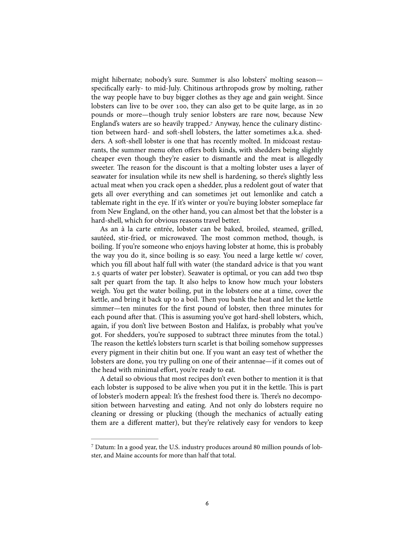<span id="page-5-1"></span>might hibernate; nobody's sure. Summer is also lobsters' molting season specifically early- to mid-July. Chitinous arthropods grow by molting, rather the way people have to buy bigger clothes as they age and gain weight. Since lobsters can live to be over 100, they can also get to be quite large, as in 20 pounds or more—though truly senior lobsters are rare now, because New England's waters are so heavily trapped.<sup>7</sup> Anyway, hence the culinary distinction between hard- and soft-shell lobsters, the latter sometimes a.k.a. shedders. A soft-shell lobster is one that has recently molted. In midcoast restaurants, the summer menu often offers both kinds, with shedders being slightly cheaper even though they're easier to dismantle and the meat is allegedly sweeter. The reason for the discount is that a molting lobster uses a layer of seawater for insulation while its new shell is hardening, so there's slightly less actual meat when you crack open a shedder, plus a redolent gout of water that gets all over everything and can sometimes jet out lemonlike and catch a tablemate right in the eye. If it's winter or you're buying lobster someplace far from New England, on the other hand, you can almost bet that the lobster is a hard-shell, which for obvious reasons travel better.

As an à la carte entrée, lobster can be baked, broiled, steamed, grilled, sautéed, stir-fried, or microwaved. The most common method, though, is boiling. If you're someone who enjoys having lobster at home, this is probably the way you do it, since boiling is so easy. You need a large kettle w/ cover, which you fill about half full with water (the standard advice is that you want 2.5 quarts of water per lobster). Seawater is optimal, or you can add two tbsp salt per quart from the tap. It also helps to know how much your lobsters weigh. You get the water boiling, put in the lobsters one at a time, cover the kettle, and bring it back up to a boil. Then you bank the heat and let the kettle simmer—ten minutes for the first pound of lobster, then three minutes for each pound after that. (This is assuming you've got hard-shell lobsters, which, again, if you don't live between Boston and Halifax, is probably what you've got. For shedders, you're supposed to subtract three minutes from the total.) The reason the kettle's lobsters turn scarlet is that boiling somehow suppresses every pigment in their chitin but one. If you want an easy test of whether the lobsters are done, you try pulling on one of their antennae—if it comes out of the head with minimal effort, you're ready to eat.

A detail so obvious that most recipes don't even bother to mention it is that each lobster is supposed to be alive when you put it in the kettle. This is part of lobster's modern appeal: It's the freshest food there is. There's no decomposition between harvesting and eating. And not only do lobsters require no cleaning or dressing or plucking (though the mechanics of actually eating them are a different matter), but they're relatively easy for vendors to keep

<span id="page-5-0"></span> $\frac{7}{7}$  $\frac{7}{7}$  $\frac{7}{7}$  Datum: In a good year, the U.S. industry produces around 80 million pounds of lobster, and Maine accounts for more than half that total.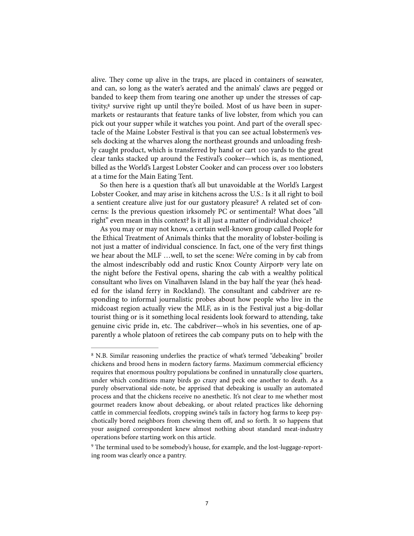<span id="page-6-2"></span>alive. They come up alive in the traps, are placed in containers of seawater, and can, so long as the water's aerated and the animals' claws are pegged or banded to keep them from tearing one another up under the stresses of captivity, $8$  survive right up until they're boiled. Most of us have been in supermarkets or restaurants that feature tanks of live lobster, from which you can pick out your supper while it watches you point. And part of the overall spectacle of the Maine Lobster Festival is that you can see actual lobstermen's vessels docking at the wharves along the northeast grounds and unloading freshly caught product, which is transferred by hand or cart 100 yards to the great clear tanks stacked up around the Festival's cooker—which is, as mentioned, billed as the World's Largest Lobster Cooker and can process over 100 lobsters at a time for the Main Eating Tent.

So then here is a question that's all but unavoidable at the World's Largest Lobster Cooker, and may arise in kitchens across the U.S.: Is it all right to boil a sentient creature alive just for our gustatory pleasure? A related set of concerns: Is the previous question irksomely PC or sentimental? What does "all right" even mean in this context? Is it all just a matter of individual choice?

<span id="page-6-3"></span>As you may or may not know, a certain well-known group called People for the Ethical Treatment of Animals thinks that the morality of lobster-boiling is not just a matter of individual conscience. In fact, one of the very first things we hear about the MLF …well, to set the scene: We're coming in by cab from [t](#page-6-1)he almost indescribably odd and rustic Knox County Airport<sup>9</sup> very late on the night before the Festival opens, sharing the cab with a wealthy political consultant who lives on Vinalhaven Island in the bay half the year (he's headed for the island ferry in Rockland). The consultant and cabdriver are responding to informal journalistic probes about how people who live in the midcoast region actually view the MLF, as in is the Festival just a big-dollar tourist thing or is it something local residents look forward to attending, take genuine civic pride in, etc. The cabdriver—who's in his seventies, one of apparently a whole platoon of retirees the cab company puts on to help with the

<span id="page-6-0"></span><sup>&</sup>lt;sup>[8](#page-6-2)</sup> N.B. Similar reasoning underlies the practice of what's termed "debeaking" broiler chickens and brood hens in modern factory farms. Maximum commercial efficiency requires that enormous poultry populations be confined in unnaturally close quarters, under which conditions many birds go crazy and peck one another to death. As a purely observational side-note, be apprised that debeaking is usually an automated process and that the chickens receive no anesthetic. It's not clear to me whether most gourmet readers know about debeaking, or about related practices like dehorning cattle in commercial feedlots, cropping swine's tails in factory hog farms to keep psychotically bored neighbors from chewing them off, and so forth. It so happens that your assigned correspondent knew almost nothing about standard meat-industry operations before starting work on this article.

<span id="page-6-1"></span><sup>&</sup>lt;sup>[9](#page-6-3)</sup> The terminal used to be somebody's house, for example, and the lost-luggage-reporting room was clearly once a pantry.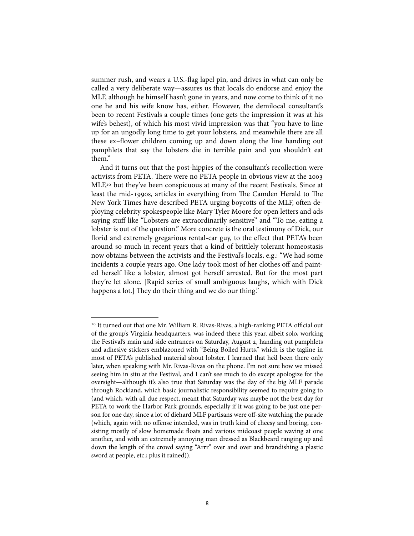summer rush, and wears a U.S.-flag lapel pin, and drives in what can only be called a very deliberate way—assures us that locals do endorse and enjoy the MLF, although he himself hasn't gone in years, and now come to think of it no one he and his wife know has, either. However, the demilocal consultant's been to recent Festivals a couple times (one gets the impression it was at his wife's behest), of which his most vivid impression was that "you have to line up for an ungodly long time to get your lobsters, and meanwhile there are all these ex–flower children coming up and down along the line handing out pamphlets that say the lobsters die in terrible pain and you shouldn't eat them."

<span id="page-7-1"></span>And it turns out that the post-hippies of the consultant's recollection were activists from PETA. There were no PETA people in obvious view at the 2003 MLF,<sup>10</sup> but they've been conspicuous at many of the recent Festivals. Since at least the mid-1990s, articles in everything from The Camden Herald to The New York Times have described PETA urging boycotts of the MLF, often deploying celebrity spokespeople like Mary Tyler Moore for open letters and ads saying stuff like "Lobsters are extraordinarily sensitive" and "To me, eating a lobster is out of the question." More concrete is the oral testimony of Dick, our florid and extremely gregarious rental-car guy, to the effect that PETA's been around so much in recent years that a kind of brittlely tolerant homeostasis now obtains between the activists and the Festival's locals, e.g.: "We had some incidents a couple years ago. One lady took most of her clothes off and painted herself like a lobster, almost got herself arrested. But for the most part they're let alone. [Rapid series of small ambiguous laughs, which with Dick happens a lot.] They do their thing and we do our thing."

<span id="page-7-0"></span><sup>&</sup>lt;sup>10</sup> It turned out that one Mr. William R. Rivas-Rivas, a high-ranking PETA official out of the group's Virginia headquarters, was indeed there this year, albeit solo, working the Festival's main and side entrances on Saturday, August 2, handing out pamphlets and adhesive stickers emblazoned with "Being Boiled Hurts," which is the tagline in most of PETA's published material about lobster. I learned that he'd been there only later, when speaking with Mr. Rivas-Rivas on the phone. I'm not sure how we missed seeing him in situ at the Festival, and I can't see much to do except apologize for the oversight—although it's also true that Saturday was the day of the big MLF parade through Rockland, which basic journalistic responsibility seemed to require going to (and which, with all due respect, meant that Saturday was maybe not the best day for PETA to work the Harbor Park grounds, especially if it was going to be just one person for one day, since a lot of diehard MLF partisans were off-site watching the parade (which, again with no offense intended, was in truth kind of cheesy and boring, consisting mostly of slow homemade floats and various midcoast people waving at one another, and with an extremely annoying man dressed as Blackbeard ranging up and down the length of the crowd saying "Arrr" over and over and brandishing a plastic sword at people, etc.; plus it rained)).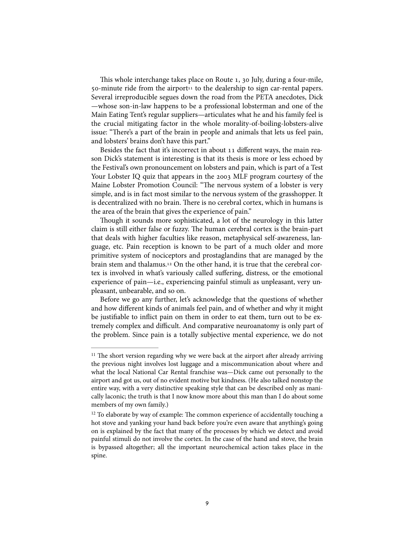<span id="page-8-2"></span>This whole interchange takes place on Route 1, 30 July, during a four-mile,  $50$ -minu[t](#page-8-0)e ride from the airport<sup>11</sup> to the dealership to sign car-rental papers. Several irreproducible segues down the road from the PETA anecdotes, Dick —whose son-in-law happens to be a professional lobsterman and one of the Main Eating Tent's regular suppliers—articulates what he and his family feel is the crucial mitigating factor in the whole morality-of-boiling-lobsters-alive issue: "There's a part of the brain in people and animals that lets us feel pain, and lobsters' brains don't have this part."

Besides the fact that it's incorrect in about 11 different ways, the main reason Dick's statement is interesting is that its thesis is more or less echoed by the Festival's own pronouncement on lobsters and pain, which is part of a Test Your Lobster IQ quiz that appears in the 2003 MLF program courtesy of the Maine Lobster Promotion Council: "The nervous system of a lobster is very simple, and is in fact most similar to the nervous system of the grasshopper. It is decentralized with no brain. There is no cerebral cortex, which in humans is the area of the brain that gives the experience of pain."

Though it sounds more sophisticated, a lot of the neurology in this latter claim is still either false or fuzzy. The human cerebral cortex is the brain-part that deals with higher faculties like reason, metaphysical self-awareness, language, etc. Pain reception is known to be part of a much older and more primitive system of nociceptors and prostaglandins that are managed by the brain stem and thalamus.<sup>12</sup> On the other hand, it is true that the cerebral cortex is involved in what's variously called suffering, distress, or the emotional experience of pain—i.e., experiencing painful stimuli as unpleasant, very unpleasant, unbearable, and so on.

<span id="page-8-3"></span>Before we go any further, let's acknowledge that the questions of whether and how different kinds of animals feel pain, and of whether and why it might be justifiable to inflict pain on them in order to eat them, turn out to be extremely complex and difficult. And comparative neuroanatomy is only part of the problem. Since pain is a totally subjective mental experience, we do not

<span id="page-8-0"></span> $11$  The short version regarding why we were back at the airport after already arriving the previous night involves lost luggage and a miscommunication about where and what the local National Car Rental franchise was—Dick came out personally to the airport and got us, out of no evident motive but kindness. (He also talked nonstop the entire way, with a very distinctive speaking style that can be described only as manically laconic; the truth is that I now know more about this man than I do about some members of my own family.)

<span id="page-8-1"></span> $12$  To elaborate by way of example: The common experience of accidentally touching a hot stove and yanking your hand back before you're even aware that anything's going on is explained by the fact that many of the processes by which we detect and avoid painful stimuli do not involve the cortex. In the case of the hand and stove, the brain is bypassed altogether; all the important neurochemical action takes place in the spine.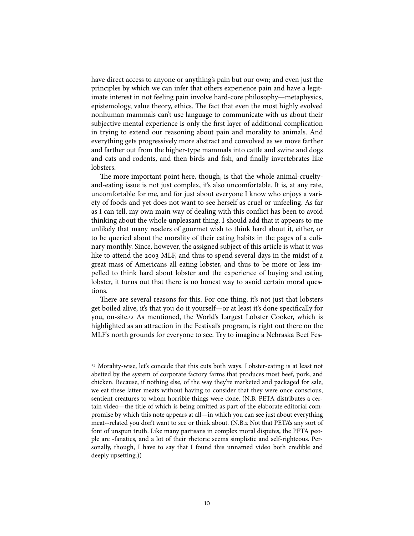have direct access to anyone or anything's pain but our own; and even just the principles by which we can infer that others experience pain and have a legitimate interest in not feeling pain involve hard-core philosophy—metaphysics, epistemology, value theory, ethics. The fact that even the most highly evolved nonhuman mammals can't use language to communicate with us about their subjective mental experience is only the first layer of additional complication in trying to extend our reasoning about pain and morality to animals. And everything gets progressively more abstract and convolved as we move farther and farther out from the higher-type mammals into cattle and swine and dogs and cats and rodents, and then birds and fish, and finally invertebrates like lobsters.

The more important point here, though, is that the whole animal-crueltyand-eating issue is not just complex, it's also uncomfortable. It is, at any rate, uncomfortable for me, and for just about everyone I know who enjoys a variety of foods and yet does not want to see herself as cruel or unfeeling. As far as I can tell, my own main way of dealing with this conflict has been to avoid thinking about the whole unpleasant thing. I should add that it appears to me unlikely that many readers of gourmet wish to think hard about it, either, or to be queried about the morality of their eating habits in the pages of a culinary monthly. Since, however, the assigned subject of this article is what it was like to attend the 2003 MLF, and thus to spend several days in the midst of a great mass of Americans all eating lobster, and thus to be more or less impelled to think hard about lobster and the experience of buying and eating lobster, it turns out that there is no honest way to avoid certain moral questions.

<span id="page-9-1"></span>There are several reasons for this. For one thing, it's not just that lobsters get boiled alive, it's that you do it yourself—or at least it's done specifically for you, on-site[.](#page-9-0)<sup>13</sup> As mentioned, the World's Largest Lobster Cooker, which is highlighted as an attraction in the Festival's program, is right out there on the MLF's north grounds for everyone to see. Try to imagine a Nebraska Beef Fes-

<span id="page-9-0"></span><sup>&</sup>lt;sup>13</sup> Morality-wise, let's concede that this cuts both ways. Lobster-eating is at least not abetted by the system of corporate factory farms that produces most beef, pork, and chicken. Because, if nothing else, of the way they're marketed and packaged for sale, we eat these latter meats without having to consider that they were once conscious, sentient creatures to whom horrible things were done. (N.B. PETA distributes a certain video—the title of which is being omitted as part of the elaborate editorial compromise by which this note appears at all—in which you can see just about everything meat--related you don't want to see or think about. (N.B.2 Not that PETA's any sort of font of unspun truth. Like many partisans in complex moral disputes, the PETA people are -fanatics, and a lot of their rhetoric seems simplistic and self-righteous. Personally, though, I have to say that I found this unnamed video both credible and deeply upsetting.))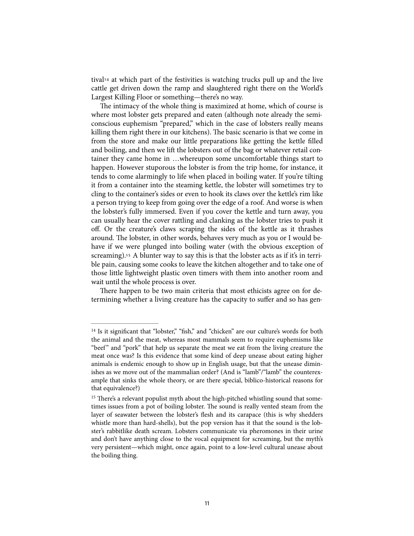<span id="page-10-2"></span>tiva[l](#page-10-0)<sup>14</sup> at which part of the festivities is watching trucks pull up and the live cattle get driven down the ramp and slaughtered right there on the World's Largest Killing Floor or something—there's no way.

The intimacy of the whole thing is maximized at home, which of course is where most lobster gets prepared and eaten (although note already the semiconscious euphemism "prepared," which in the case of lobsters really means killing them right there in our kitchens). The basic scenario is that we come in from the store and make our little preparations like getting the kettle filled and boiling, and then we lift the lobsters out of the bag or whatever retail container they came home in …whereupon some uncomfortable things start to happen. However stuporous the lobster is from the trip home, for instance, it tends to come alarmingly to life when placed in boiling water. If you're tilting it from a container into the steaming kettle, the lobster will sometimes try to cling to the container's sides or even to hook its claws over the kettle's rim like a person trying to keep from going over the edge of a roof. And worse is when the lobster's fully immersed. Even if you cover the kettle and turn away, you can usually hear the cover rattling and clanking as the lobster tries to push it off. Or the creature's claws scraping the sides of the kettle as it thrashes around. The lobster, in other words, behaves very much as you or I would behave if we were plunged into boiling water (with the obvious exception of screaming)[.](#page-10-1)<sup> $15$ </sup> A blunter way to say this is that the lobster acts as if it's in terrible pain, causing some cooks to leave the kitchen altogether and to take one of those little lightweight plastic oven timers with them into another room and wait until the whole process is over.

<span id="page-10-3"></span>There happen to be two main criteria that most ethicists agree on for determining whether a living creature has the capacity to suffer and so has gen-

<span id="page-10-0"></span><sup>&</sup>lt;sup>[14](#page-10-2)</sup> Is it significant that "lobster," "fish," and "chicken" are our culture's words for both the animal and the meat, whereas most mammals seem to require euphemisms like "beef" and "pork" that help us separate the meat we eat from the living creature the meat once was? Is this evidence that some kind of deep unease about eating higher animals is endemic enough to show up in English usage, but that the unease diminishes as we move out of the mammalian order? (And is "lamb"/"lamb" the counterexample that sinks the whole theory, or are there special, biblico-historical reasons for that equivalence?)

<span id="page-10-1"></span> $15$  There's a relevant populist myth about the high-pitched whistling sound that sometimes issues from a pot of boiling lobster. The sound is really vented steam from the layer of seawater between the lobster's flesh and its carapace (this is why shedders whistle more than hard-shells), but the pop version has it that the sound is the lobster's rabbitlike death scream. Lobsters communicate via pheromones in their urine and don't have anything close to the vocal equipment for screaming, but the myth's very persistent—which might, once again, point to a low-level cultural unease about the boiling thing.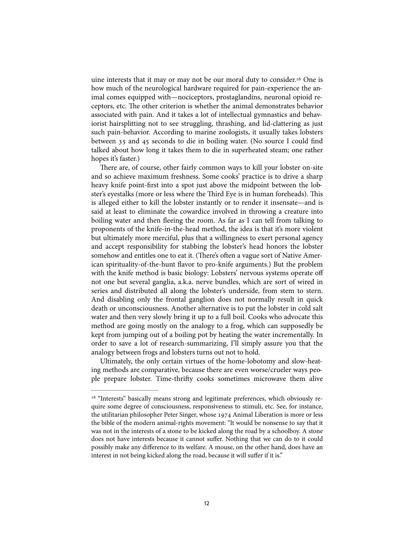<span id="page-11-1"></span>uine interests that it may or may not be our moral duty to consider[.](#page-11-0)<sup>16</sup> One is how much of the neurological hardware required for pain-experience the animal comes equipped with—nociceptors, prostaglandins, neuronal opioid receptors, etc. The other criterion is whether the animal demonstrates behavior associated with pain. And it takes a lot of intellectual gymnastics and behaviorist hairsplitting not to see struggling, thrashing, and lid-clattering as just such pain-behavior. According to marine zoologists, it usually takes lobsters between 35 and 45 seconds to die in boiling water. (No source I could find talked about how long it takes them to die in superheated steam; one rather hopes it's faster.)

There are, of course, other fairly common ways to kill your lobster on-site and so achieve maximum freshness. Some cooks' practice is to drive a sharp heavy knife point-first into a spot just above the midpoint between the lobster's eyestalks (more or less where the Third Eye is in human foreheads). This is alleged either to kill the lobster instantly or to render it insensate—and is said at least to eliminate the cowardice involved in throwing a creature into boiling water and then fleeing the room. As far as I can tell from talking to proponents of the knife-in-the-head method, the idea is that it's more violent but ultimately more merciful, plus that a willingness to exert personal agency and accept responsibility for stabbing the lobster's head honors the lobster somehow and entitles one to eat it. (There's often a vague sort of Native American spirituality-of-the-hunt flavor to pro-knife arguments.) But the problem with the knife method is basic biology: Lobsters' nervous systems operate off not one but several ganglia, a.k.a. nerve bundles, which are sort of wired in series and distributed all along the lobster's underside, from stem to stern. And disabling only the frontal ganglion does not normally result in quick death or unconsciousness. Another alternative is to put the lobster in cold salt water and then very slowly bring it up to a full boil. Cooks who advocate this method are going mostly on the analogy to a frog, which can supposedly be kept from jumping out of a boiling pot by heating the water incrementally. In order to save a lot of research-summarizing, I'll simply assure you that the analogy between frogs and lobsters turns out not to hold.

Ultimately, the only certain virtues of the home-lobotomy and slow-heating methods are comparative, because there are even worse/crueler ways people prepare lobster. Time-thrify cooks sometimes microwave them alive

<span id="page-11-0"></span><sup>&</sup>lt;sup>16</sup> "Interests" basically means strong and legitimate preferences, which obviously require some degree of consciousness, responsiveness to stimuli, etc. See, for instance, the utilitarian philosopher Peter Singer, whose 1974 Animal Liberation is more or less the bible of the modern animal-rights movement: "It would be nonsense to say that it was not in the interests of a stone to be kicked along the road by a schoolboy. A stone does not have interests because it cannot suffer. Nothing that we can do to it could possibly make any difference to its welfare. A mouse, on the other hand, does have an interest in not being kicked along the road, because it will suffer if it is."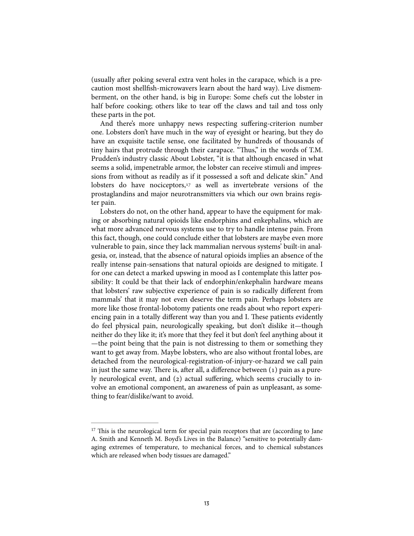(usually afer poking several extra vent holes in the carapace, which is a precaution most shellfish-microwavers learn about the hard way). Live dismemberment, on the other hand, is big in Europe: Some chefs cut the lobster in half before cooking; others like to tear off the claws and tail and toss only these parts in the pot.

And there's more unhappy news respecting suffering-criterion number one. Lobsters don't have much in the way of eyesight or hearing, but they do have an exquisite tactile sense, one facilitated by hundreds of thousands of tiny hairs that protrude through their carapace. "Thus," in the words of T.M. Prudden's industry classic About Lobster, "it is that although encased in what seems a solid, impenetrable armor, the lobster can receive stimuli and impressions from without as readily as if it possessed a soft and delicate skin." And lobsters do have nociceptors,<sup>17</sup> as well as invertebrate versions of the prostaglandins and major neurotransmitters via which our own brains register pain.

<span id="page-12-1"></span>Lobsters do not, on the other hand, appear to have the equipment for making or absorbing natural opioids like endorphins and enkephalins, which are what more advanced nervous systems use to try to handle intense pain. From this fact, though, one could conclude either that lobsters are maybe even more vulnerable to pain, since they lack mammalian nervous systems' built-in analgesia, or, instead, that the absence of natural opioids implies an absence of the really intense pain-sensations that natural opioids are designed to mitigate. I for one can detect a marked upswing in mood as I contemplate this latter possibility: It could be that their lack of endorphin/enkephalin hardware means that lobsters' raw subjective experience of pain is so radically different from mammals' that it may not even deserve the term pain. Perhaps lobsters are more like those frontal-lobotomy patients one reads about who report experiencing pain in a totally different way than you and I. These patients evidently do feel physical pain, neurologically speaking, but don't dislike it—though neither do they like it; it's more that they feel it but don't feel anything about it —the point being that the pain is not distressing to them or something they want to get away from. Maybe lobsters, who are also without frontal lobes, are detached from the neurological-registration-of-injury-or-hazard we call pain in just the same way. There is, after all, a difference between  $(1)$  pain as a purely neurological event, and  $(2)$  actual suffering, which seems crucially to involve an emotional component, an awareness of pain as unpleasant, as something to fear/dislike/want to avoid.

<span id="page-12-0"></span> $17$  This is the neurological term for special pain receptors that are (according to Jane A. Smith and Kenneth M. Boyd's Lives in the Balance) "sensitive to potentially damaging extremes of temperature, to mechanical forces, and to chemical substances which are released when body tissues are damaged."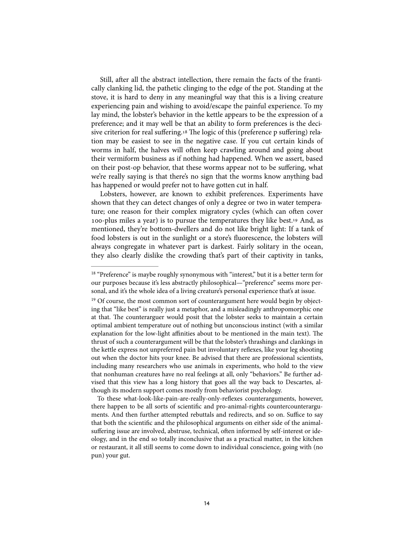Still, after all the abstract intellection, there remain the facts of the frantically clanking lid, the pathetic clinging to the edge of the pot. Standing at the stove, it is hard to deny in any meaningful way that this is a living creature experiencing pain and wishing to avoid/escape the painful experience. To my lay mind, the lobster's behavior in the kettle appears to be the expression of a preference; and it may well be that an ability to form preferences is the decisive criterion for real suffering.<sup>18</sup> The logic of this (preference p suffering) relation may be easiest to see in the negative case. If you cut certain kinds of worms in half, the halves will often keep crawling around and going about their vermiform business as if nothing had happened. When we assert, based on their post-op behavior, that these worms appear not to be suffering, what we're really saying is that there's no sign that the worms know anything bad has happened or would prefer not to have gotten cut in half.

<span id="page-13-3"></span><span id="page-13-2"></span>Lobsters, however, are known to exhibit preferences. Experiments have shown that they can detect changes of only a degree or two in water temperature; one reason for their complex migratory cycles (which can ofen cover 100-plus miles a year) is to pursue the temperatures they like best[.](#page-13-1)<sup>19</sup> And, as mentioned, they're bottom-dwellers and do not like bright light: If a tank of food lobsters is out in the sunlight or a store's fluorescence, the lobsters will always congregate in whatever part is darkest. Fairly solitary in the ocean, they also clearly dislike the crowding that's part of their captivity in tanks,

<span id="page-13-0"></span><sup>&</sup>lt;sup>[18](#page-13-2)</sup> "Preference" is maybe roughly synonymous with "interest," but it is a better term for our purposes because it's less abstractly philosophical—"preference" seems more personal, and it's the whole idea of a living creature's personal experience that's at issue.

<span id="page-13-1"></span> $19$  Of course, the most common sort of counterargument here would begin by objecting that "like best" is really just a metaphor, and a misleadingly anthropomorphic one at that. The counterarguer would posit that the lobster seeks to maintain a certain optimal ambient temperature out of nothing but unconscious instinct (with a similar explanation for the low-light affinities about to be mentioned in the main text). The thrust of such a counterargument will be that the lobster's thrashings and clankings in the kettle express not unpreferred pain but involuntary reflexes, like your leg shooting out when the doctor hits your knee. Be advised that there are professional scientists, including many researchers who use animals in experiments, who hold to the view that nonhuman creatures have no real feelings at all, only "behaviors." Be further advised that this view has a long history that goes all the way back to Descartes, although its modern support comes mostly from behaviorist psychology.

To these what-look-like-pain-are-really-only-reflexes counterarguments, however, there happen to be all sorts of scientific and pro-animal-rights countercounterarguments. And then further attempted rebuttals and redirects, and so on. Suffice to say that both the scientific and the philosophical arguments on either side of the animalsuffering issue are involved, abstruse, technical, ofen informed by self-interest or ideology, and in the end so totally inconclusive that as a practical matter, in the kitchen or restaurant, it all still seems to come down to individual conscience, going with (no pun) your gut.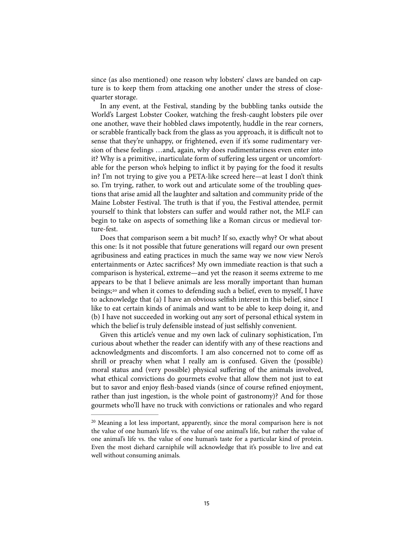since (as also mentioned) one reason why lobsters' claws are banded on capture is to keep them from attacking one another under the stress of closequarter storage.

In any event, at the Festival, standing by the bubbling tanks outside the World's Largest Lobster Cooker, watching the fresh-caught lobsters pile over one another, wave their hobbled claws impotently, huddle in the rear corners, or scrabble frantically back from the glass as you approach, it is difficult not to sense that they're unhappy, or frightened, even if it's some rudimentary version of these feelings …and, again, why does rudimentariness even enter into it? Why is a primitive, inarticulate form of suffering less urgent or uncomfortable for the person who's helping to inflict it by paying for the food it results in? I'm not trying to give you a PETA-like screed here—at least I don't think so. I'm trying, rather, to work out and articulate some of the troubling questions that arise amid all the laughter and saltation and community pride of the Maine Lobster Festival. The truth is that if you, the Festival attendee, permit yourself to think that lobsters can suffer and would rather not, the MLF can begin to take on aspects of something like a Roman circus or medieval torture-fest.

Does that comparison seem a bit much? If so, exactly why? Or what about this one: Is it not possible that future generations will regard our own present agribusiness and eating practices in much the same way we now view Nero's entertainments or Aztec sacrifices? My own immediate reaction is that such a comparison is hysterical, extreme—and yet the reason it seems extreme to me appears to be that I believe animals are less morally important than human beings;<sup>20</sup> and when it comes to defending such a belief, even to myself, I have to acknowledge that (a) I have an obvious selfish interest in this belief, since I like to eat certain kinds of animals and want to be able to keep doing it, and (b) I have not succeeded in working out any sort of personal ethical system in which the belief is truly defensible instead of just selfishly convenient.

<span id="page-14-1"></span>Given this article's venue and my own lack of culinary sophistication, I'm curious about whether the reader can identify with any of these reactions and acknowledgments and discomforts. I am also concerned not to come off as shrill or preachy when what I really am is confused. Given the (possible) moral status and (very possible) physical suffering of the animals involved, what ethical convictions do gourmets evolve that allow them not just to eat but to savor and enjoy flesh-based viands (since of course refined enjoyment, rather than just ingestion, is the whole point of gastronomy)? And for those gourmets who'll have no truck with convictions or rationales and who regard

<span id="page-14-0"></span> $20$  Meaning a lot less important, apparently, since the moral comparison here is not the value of one human's life vs. the value of one animal's life, but rather the value of one animal's life vs. the value of one human's taste for a particular kind of protein. Even the most diehard carniphile will acknowledge that it's possible to live and eat well without consuming animals.